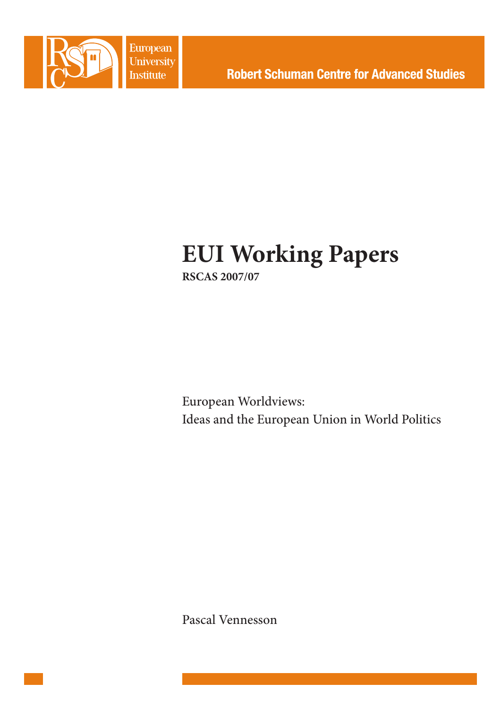

European **University Institute** 

# **EUI Working Papers RSCAS 2007/07**

European Worldviews: Ideas and the European Union in World Politics

Pascal Vennesson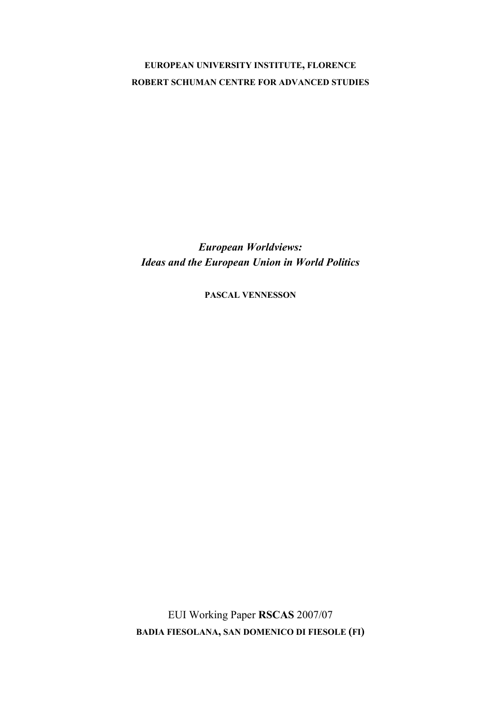# **EUROPEAN UNIVERSITY INSTITUTE, FLORENCE ROBERT SCHUMAN CENTRE FOR ADVANCED STUDIES**

*European Worldviews: Ideas and the European Union in World Politics* 

**PASCAL VENNESSON**

EUI Working Paper **RSCAS** 2007/07 **BADIA FIESOLANA, SAN DOMENICO DI FIESOLE (FI)**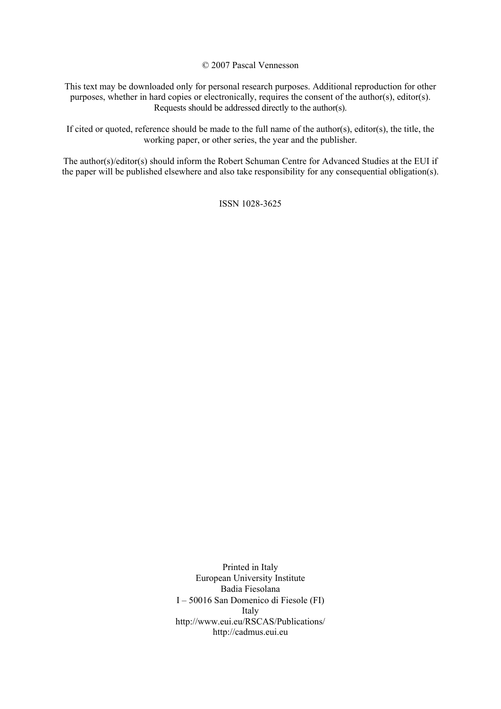© 2007 Pascal Vennesson

This text may be downloaded only for personal research purposes. Additional reproduction for other purposes, whether in hard copies or electronically, requires the consent of the author(s), editor(s). Requests should be addressed directly to the author(s).

If cited or quoted, reference should be made to the full name of the author(s), editor(s), the title, the working paper, or other series, the year and the publisher.

The author(s)/editor(s) should inform the Robert Schuman Centre for Advanced Studies at the EUI if the paper will be published elsewhere and also take responsibility for any consequential obligation(s).

ISSN 1028-3625

Printed in Italy European University Institute Badia Fiesolana I – 50016 San Domenico di Fiesole (FI) Italy [http://www.eui.eu/RSCAS/Publications/](http://www.eui.eu/RSCAS/Publications)  <http://cadmus.eui.eu>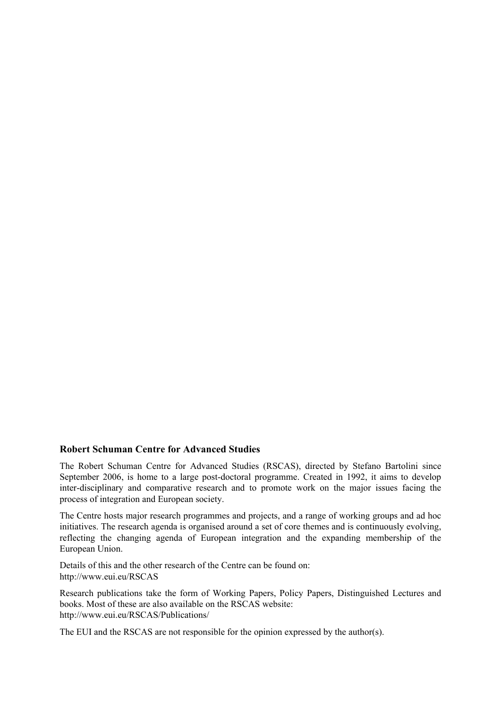# **Robert Schuman Centre for Advanced Studies**

The Robert Schuman Centre for Advanced Studies (RSCAS), directed by Stefano Bartolini since September 2006, is home to a large post-doctoral programme. Created in 1992, it aims to develop inter-disciplinary and comparative research and to promote work on the major issues facing the process of integration and European society.

The Centre hosts major research programmes and projects, and a range of working groups and ad hoc initiatives. The research agenda is organised around a set of core themes and is continuously evolving, reflecting the changing agenda of European integration and the expanding membership of the European Union.

Details of this and the other research of the Centre can be found on: <http://www.eui.eu/RSCAS>

Research publications take the form of Working Papers, Policy Papers, Distinguished Lectures and books. Most of these are also available on the RSCAS website: [http://www.eui.eu/RSCAS/Publications/](http://www.eui.eu/RSCAS/Publications) 

The EUI and the RSCAS are not responsible for the opinion expressed by the author(s).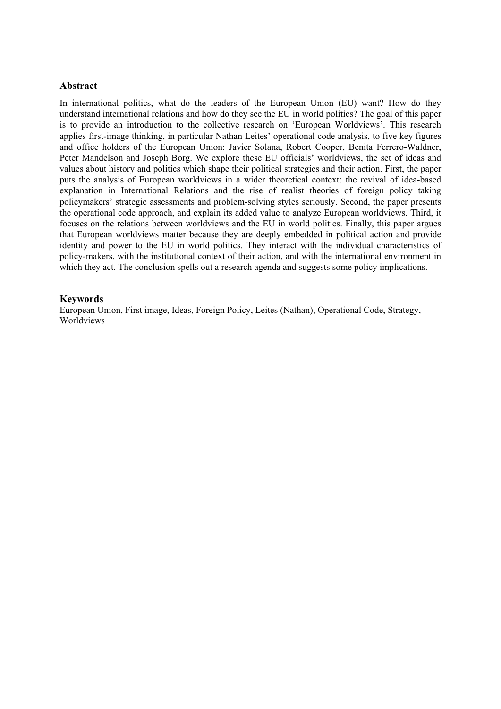# **Abstract**

In international politics, what do the leaders of the European Union (EU) want? How do they understand international relations and how do they see the EU in world politics? The goal of this paper is to provide an introduction to the collective research on 'European Worldviews'. This research applies first-image thinking, in particular Nathan Leites' operational code analysis, to five key figures and office holders of the European Union: Javier Solana, Robert Cooper, Benita Ferrero-Waldner, Peter Mandelson and Joseph Borg. We explore these EU officials' worldviews, the set of ideas and values about history and politics which shape their political strategies and their action. First, the paper puts the analysis of European worldviews in a wider theoretical context: the revival of idea-based explanation in International Relations and the rise of realist theories of foreign policy taking policymakers' strategic assessments and problem-solving styles seriously. Second, the paper presents the operational code approach, and explain its added value to analyze European worldviews. Third, it focuses on the relations between worldviews and the EU in world politics. Finally, this paper argues that European worldviews matter because they are deeply embedded in political action and provide identity and power to the EU in world politics. They interact with the individual characteristics of policy-makers, with the institutional context of their action, and with the international environment in which they act. The conclusion spells out a research agenda and suggests some policy implications.

#### **Keywords**

European Union, First image, Ideas, Foreign Policy, Leites (Nathan), Operational Code, Strategy, Worldviews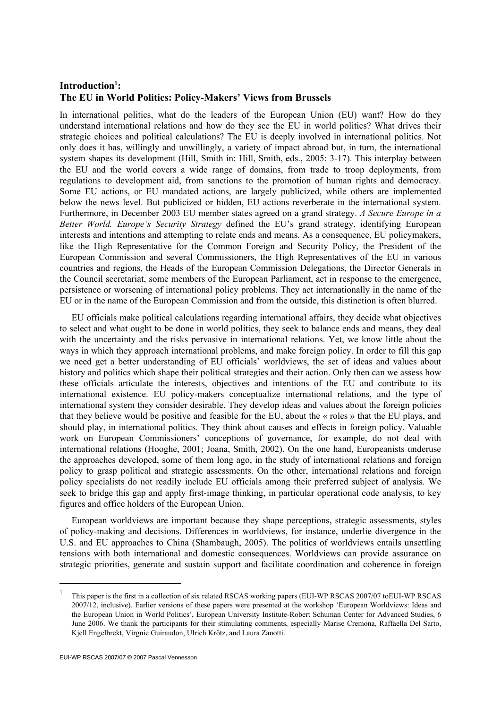# Introduction<sup>1</sup>: **The EU in World Politics: Policy-Makers' Views from Brussels**

In international politics, what do the leaders of the European Union (EU) want? How do they understand international relations and how do they see the EU in world politics? What drives their strategic choices and political calculations? The EU is deeply involved in international politics. Not only does it has, willingly and unwillingly, a variety of impact abroad but, in turn, the international system shapes its development (Hill, Smith in: Hill, Smith, eds., 2005: 3-17). This interplay between the EU and the world covers a wide range of domains, from trade to troop deployments, from regulations to development aid, from sanctions to the promotion of human rights and democracy. Some EU actions, or EU mandated actions, are largely publicized, while others are implemented below the news level. But publicized or hidden, EU actions reverberate in the international system. Furthermore, in December 2003 EU member states agreed on a grand strategy. *A Secure Europe in a Better World. Europe's Security Strategy* defined the EU's grand strategy, identifying European interests and intentions and attempting to relate ends and means. As a consequence, EU policymakers, like the High Representative for the Common Foreign and Security Policy, the President of the European Commission and several Commissioners, the High Representatives of the EU in various countries and regions, the Heads of the European Commission Delegations, the Director Generals in the Council secretariat, some members of the European Parliament, act in response to the emergence, persistence or worsening of international policy problems. They act internationally in the name of the EU or in the name of the European Commission and from the outside, this distinction is often blurred.

EU officials make political calculations regarding international affairs, they decide what objectives to select and what ought to be done in world politics, they seek to balance ends and means, they deal with the uncertainty and the risks pervasive in international relations. Yet, we know little about the ways in which they approach international problems, and make foreign policy. In order to fill this gap we need get a better understanding of EU officials' worldviews, the set of ideas and values about history and politics which shape their political strategies and their action. Only then can we assess how these officials articulate the interests, objectives and intentions of the EU and contribute to its international existence. EU policy-makers conceptualize international relations, and the type of international system they consider desirable. They develop ideas and values about the foreign policies that they believe would be positive and feasible for the EU, about the « roles » that the EU plays, and should play, in international politics. They think about causes and effects in foreign policy. Valuable work on European Commissioners' conceptions of governance, for example, do not deal with international relations (Hooghe, 2001; Joana, Smith, 2002). On the one hand, Europeanists underuse the approaches developed, some of them long ago, in the study of international relations and foreign policy to grasp political and strategic assessments. On the other, international relations and foreign policy specialists do not readily include EU officials among their preferred subject of analysis. We seek to bridge this gap and apply first-image thinking, in particular operational code analysis, to key figures and office holders of the European Union.

European worldviews are important because they shape perceptions, strategic assessments, styles of policy-making and decisions. Differences in worldviews, for instance, underlie divergence in the U.S. and EU approaches to China (Shambaugh, 2005). The politics of worldviews entails unsettling tensions with both international and domestic consequences. Worldviews can provide assurance on strategic priorities, generate and sustain support and facilitate coordination and coherence in foreign

1

<sup>1</sup> This paper is the first in a collection of six related RSCAS working papers (EUI-WP RSCAS 2007/07 toEUI-WP RSCAS 2007/12, inclusive). Earlier versions of these papers were presented at the workshop 'European Worldviews: Ideas and the European Union in World Politics', European University Institute-Robert Schuman Center for Advanced Studies, 6 June 2006. We thank the participants for their stimulating comments, especially Marise Cremona, Raffaella Del Sarto, Kjell Engelbrekt, Virgnie Guiraudon, Ulrich Krötz, and Laura Zanotti.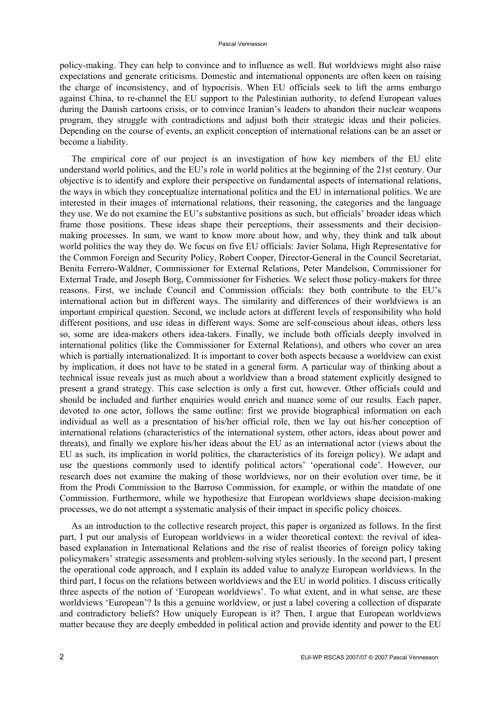policy-making. They can help to convince and to influence as well. But worldviews might also raise expectations and generate criticisms. Domestic and international opponents are often keen on raising the charge of inconsistency, and of hypocrisis. When EU officials seek to lift the arms embargo against China, to re-channel the EU support to the Palestinian authority, to defend European values during the Danish cartoons crisis, or to convince Iranian's leaders to abandon their nuclear weapons program, they struggle with contradictions and adjust both their strategic ideas and their policies. Depending on the course of events, an explicit conception of international relations can be an asset or become a liability.

The empirical core of our project is an investigation of how key members of the EU elite understand world politics, and the EU's role in world politics at the beginning of the 21st century. Our objective is to identify and explore their perspective on fundamental aspects of international relations, the ways in which they conceptualize international politics and the EU in international politics. We are interested in their images of international relations, their reasoning, the categories and the language they use. We do not examine the EU's substantive positions as such, but officials' broader ideas which frame those positions. These ideas shape their perceptions, their assessments and their decisionmaking processes. In sum, we want to know more about how, and why, they think and talk about world politics the way they do. We focus on five EU officials: Javier Solana, High Representative for the Common Foreign and Security Policy, Robert Cooper, Director-General in the Council Secretariat, Benita Ferrero-Waldner, Commissioner for External Relations, Peter Mandelson, Commissioner for External Trade, and Joseph Borg, Commissioner for Fisheries. We select those policy-makers for three reasons. First, we include Council and Commission officials: they both contribute to the EU's international action but in different ways. The similarity and differences of their worldviews is an important empirical question. Second, we include actors at different levels of responsibility who hold different positions, and use ideas in different ways. Some are self-conscious about ideas, others less so, some are idea-makers others idea-takers. Finally, we include both officials deeply involved in international politics (like the Commissioner for External Relations), and others who cover an area which is partially internationalized. It is important to cover both aspects because a worldview can exist by implication, it does not have to be stated in a general form. A particular way of thinking about a technical issue reveals just as much about a worldview than a broad statement explicitly designed to present a grand strategy. This case selection is only a first cut, however. Other officials could and should be included and further enquiries would enrich and nuance some of our results. Each paper, devoted to one actor, follows the same outline: first we provide biographical information on each individual as well as a presentation of his/her official role, then we lay out his/her conception of international relations (characteristics of the international system, other actors, ideas about power and threats), and finally we explore his/her ideas about the EU as an international actor (views about the EU as such, its implication in world politics, the characteristics of its foreign policy). We adapt and use the questions commonly used to identify political actors' 'operational code'. However, our research does not examine the making of those worldviews, nor on their evolution over time, be it from the Prodi Commission to the Barroso Commission, for example, or within the mandate of one Commission. Furthermore, while we hypothesize that European worldviews shape decision-making processes, we do not attempt a systematic analysis of their impact in specific policy choices.

As an introduction to the collective research project, this paper is organized as follows. In the first part, I put our analysis of European worldviews in a wider theoretical context: the revival of ideabased explanation in International Relations and the rise of realist theories of foreign policy taking policymakers' strategic assessments and problem-solving styles seriously. In the second part, I present the operational code approach, and I explain its added value to analyze European worldviews. In the third part, I focus on the relations between worldviews and the EU in world politics. I discuss critically three aspects of the notion of 'European worldviews'. To what extent, and in what sense, are these worldviews 'European'? Is this a genuine worldview, or just a label covering a collection of disparate and contradictory beliefs? How uniquely European is it? Then, I argue that European worldviews matter because they are deeply embedded in political action and provide identity and power to the EU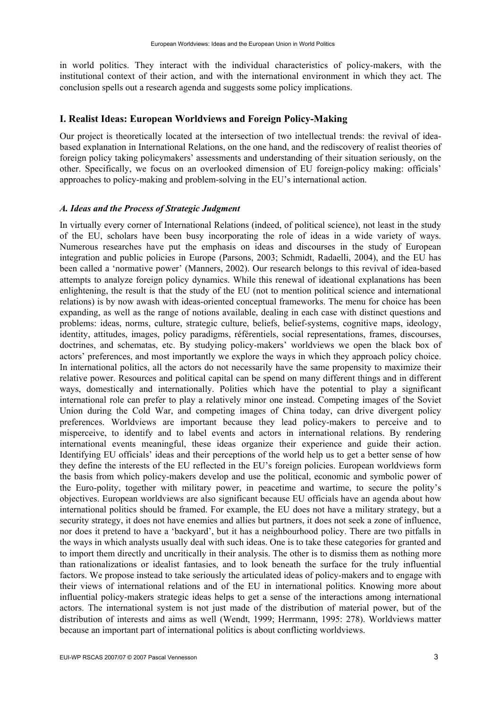in world politics. They interact with the individual characteristics of policy-makers, with the institutional context of their action, and with the international environment in which they act. The conclusion spells out a research agenda and suggests some policy implications.

# **I. Realist Ideas: European Worldviews and Foreign Policy-Making**

Our project is theoretically located at the intersection of two intellectual trends: the revival of ideabased explanation in International Relations, on the one hand, and the rediscovery of realist theories of foreign policy taking policymakers' assessments and understanding of their situation seriously, on the other. Specifically, we focus on an overlooked dimension of EU foreign-policy making: officials' approaches to policy-making and problem-solving in the EU's international action.

#### *A. Ideas and the Process of Strategic Judgment*

In virtually every corner of International Relations (indeed, of political science), not least in the study of the EU, scholars have been busy incorporating the role of ideas in a wide variety of ways. Numerous researches have put the emphasis on ideas and discourses in the study of European integration and public policies in Europe (Parsons, 2003; Schmidt, Radaelli, 2004), and the EU has been called a 'normative power' (Manners, 2002). Our research belongs to this revival of idea-based attempts to analyze foreign policy dynamics. While this renewal of ideational explanations has been enlightening, the result is that the study of the EU (not to mention political science and international relations) is by now awash with ideas-oriented conceptual frameworks. The menu for choice has been expanding, as well as the range of notions available, dealing in each case with distinct questions and problems: ideas, norms, culture, strategic culture, beliefs, belief-systems, cognitive maps, ideology, identity, attitudes, images, policy paradigms, référentiels, social representations, frames, discourses, doctrines, and schematas, etc. By studying policy-makers' worldviews we open the black box of actors' preferences, and most importantly we explore the ways in which they approach policy choice. In international politics, all the actors do not necessarily have the same propensity to maximize their relative power. Resources and political capital can be spend on many different things and in different ways, domestically and internationally. Polities which have the potential to play a significant international role can prefer to play a relatively minor one instead. Competing images of the Soviet Union during the Cold War, and competing images of China today, can drive divergent policy preferences. Worldviews are important because they lead policy-makers to perceive and to misperceive, to identify and to label events and actors in international relations. By rendering international events meaningful, these ideas organize their experience and guide their action. Identifying EU officials' ideas and their perceptions of the world help us to get a better sense of how they define the interests of the EU reflected in the EU's foreign policies. European worldviews form the basis from which policy-makers develop and use the political, economic and symbolic power of the Euro-polity, together with military power, in peacetime and wartime, to secure the polity's objectives. European worldviews are also significant because EU officials have an agenda about how international politics should be framed. For example, the EU does not have a military strategy, but a security strategy, it does not have enemies and allies but partners, it does not seek a zone of influence, nor does it pretend to have a 'backyard', but it has a neighbourhood policy. There are two pitfalls in the ways in which analysts usually deal with such ideas. One is to take these categories for granted and to import them directly and uncritically in their analysis. The other is to dismiss them as nothing more than rationalizations or idealist fantasies, and to look beneath the surface for the truly influential factors. We propose instead to take seriously the articulated ideas of policy-makers and to engage with their views of international relations and of the EU in international politics. Knowing more about influential policy-makers strategic ideas helps to get a sense of the interactions among international actors. The international system is not just made of the distribution of material power, but of the distribution of interests and aims as well (Wendt, 1999; Herrmann, 1995: 278). Worldviews matter because an important part of international politics is about conflicting worldviews.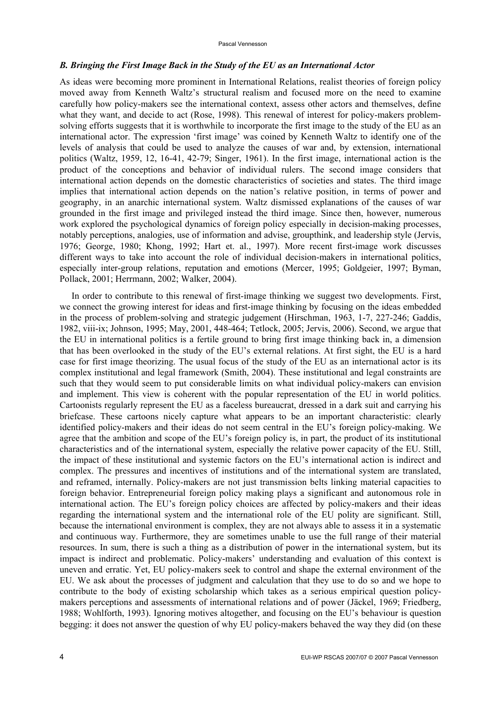#### Pascal Vennesson

#### *B. Bringing the First Image Back in the Study of the EU as an International Actor*

As ideas were becoming more prominent in International Relations, realist theories of foreign policy moved away from Kenneth Waltz's structural realism and focused more on the need to examine carefully how policy-makers see the international context, assess other actors and themselves, define what they want, and decide to act (Rose, 1998). This renewal of interest for policy-makers problemsolving efforts suggests that it is worthwhile to incorporate the first image to the study of the EU as an international actor. The expression 'first image' was coined by Kenneth Waltz to identify one of the levels of analysis that could be used to analyze the causes of war and, by extension, international politics (Waltz, 1959, 12, 16-41, 42-79; Singer, 1961). In the first image, international action is the product of the conceptions and behavior of individual rulers. The second image considers that international action depends on the domestic characteristics of societies and states. The third image implies that international action depends on the nation's relative position, in terms of power and geography, in an anarchic international system. Waltz dismissed explanations of the causes of war grounded in the first image and privileged instead the third image. Since then, however, numerous work explored the psychological dynamics of foreign policy especially in decision-making processes, notably perceptions, analogies, use of information and advise, groupthink, and leadership style (Jervis, 1976; George, 1980; Khong, 1992; Hart et. al., 1997). More recent first-image work discusses different ways to take into account the role of individual decision-makers in international politics, especially inter-group relations, reputation and emotions (Mercer, 1995; Goldgeier, 1997; Byman, Pollack, 2001; Herrmann, 2002; Walker, 2004).

In order to contribute to this renewal of first-image thinking we suggest two developments. First, we connect the growing interest for ideas and first-image thinking by focusing on the ideas embedded in the process of problem-solving and strategic judgement (Hirschman, 1963, 1-7, 227-246; Gaddis, 1982, viii-ix; Johnson, 1995; May, 2001, 448-464; Tetlock, 2005; Jervis, 2006). Second, we argue that the EU in international politics is a fertile ground to bring first image thinking back in, a dimension that has been overlooked in the study of the EU's external relations. At first sight, the EU is a hard case for first image theorizing. The usual focus of the study of the EU as an international actor is its complex institutional and legal framework (Smith, 2004). These institutional and legal constraints are such that they would seem to put considerable limits on what individual policy-makers can envision and implement. This view is coherent with the popular representation of the EU in world politics. Cartoonists regularly represent the EU as a faceless bureaucrat, dressed in a dark suit and carrying his briefcase. These cartoons nicely capture what appears to be an important characteristic: clearly identified policy-makers and their ideas do not seem central in the EU's foreign policy-making. We agree that the ambition and scope of the EU's foreign policy is, in part, the product of its institutional characteristics and of the international system, especially the relative power capacity of the EU. Still, the impact of these institutional and systemic factors on the EU's international action is indirect and complex. The pressures and incentives of institutions and of the international system are translated, and reframed, internally. Policy-makers are not just transmission belts linking material capacities to foreign behavior. Entrepreneurial foreign policy making plays a significant and autonomous role in international action. The EU's foreign policy choices are affected by policy-makers and their ideas regarding the international system and the international role of the EU polity are significant. Still, because the international environment is complex, they are not always able to assess it in a systematic and continuous way. Furthermore, they are sometimes unable to use the full range of their material resources. In sum, there is such a thing as a distribution of power in the international system, but its impact is indirect and problematic. Policy-makers' understanding and evaluation of this context is uneven and erratic. Yet, EU policy-makers seek to control and shape the external environment of the EU. We ask about the processes of judgment and calculation that they use to do so and we hope to contribute to the body of existing scholarship which takes as a serious empirical question policymakers perceptions and assessments of international relations and of power (Jäckel, 1969; Friedberg, 1988; Wohlforth, 1993). Ignoring motives altogether, and focusing on the EU's behaviour is question begging: it does not answer the question of why EU policy-makers behaved the way they did (on these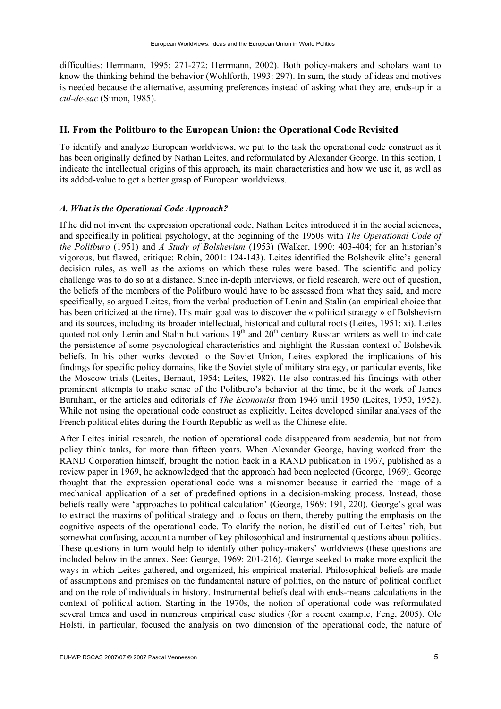difficulties: Herrmann, 1995: 271-272; Herrmann, 2002). Both policy-makers and scholars want to know the thinking behind the behavior (Wohlforth, 1993: 297). In sum, the study of ideas and motives is needed because the alternative, assuming preferences instead of asking what they are, ends-up in a *cul-de-sac* (Simon, 1985).

# **II. From the Politburo to the European Union: the Operational Code Revisited**

To identify and analyze European worldviews, we put to the task the operational code construct as it has been originally defined by Nathan Leites, and reformulated by Alexander George. In this section, I indicate the intellectual origins of this approach, its main characteristics and how we use it, as well as its added-value to get a better grasp of European worldviews.

#### *A. What is the Operational Code Approach?*

If he did not invent the expression operational code, Nathan Leites introduced it in the social sciences, and specifically in political psychology, at the beginning of the 1950s with *The Operational Code of the Politburo* (1951) and *A Study of Bolshevism* (1953) (Walker, 1990: 403-404; for an historian's vigorous, but flawed, critique: Robin, 2001: 124-143). Leites identified the Bolshevik elite's general decision rules, as well as the axioms on which these rules were based. The scientific and policy challenge was to do so at a distance. Since in-depth interviews, or field research, were out of question, the beliefs of the members of the Politburo would have to be assessed from what they said, and more specifically, so argued Leites, from the verbal production of Lenin and Stalin (an empirical choice that has been criticized at the time). His main goal was to discover the « political strategy » of Bolshevism and its sources, including its broader intellectual, historical and cultural roots (Leites, 1951: xi). Leites quoted not only Lenin and Stalin but various  $19<sup>th</sup>$  and  $20<sup>th</sup>$  century Russian writers as well to indicate the persistence of some psychological characteristics and highlight the Russian context of Bolshevik beliefs. In his other works devoted to the Soviet Union, Leites explored the implications of his findings for specific policy domains, like the Soviet style of military strategy, or particular events, like the Moscow trials (Leites, Bernaut, 1954; Leites, 1982). He also contrasted his findings with other prominent attempts to make sense of the Politburo's behavior at the time, be it the work of James Burnham, or the articles and editorials of *The Economist* from 1946 until 1950 (Leites, 1950, 1952). While not using the operational code construct as explicitly, Leites developed similar analyses of the French political elites during the Fourth Republic as well as the Chinese elite.

After Leites initial research, the notion of operational code disappeared from academia, but not from policy think tanks, for more than fifteen years. When Alexander George, having worked from the RAND Corporation himself, brought the notion back in a RAND publication in 1967, published as a review paper in 1969, he acknowledged that the approach had been neglected (George, 1969). George thought that the expression operational code was a misnomer because it carried the image of a mechanical application of a set of predefined options in a decision-making process. Instead, those beliefs really were 'approaches to political calculation' (George, 1969: 191, 220). George's goal was to extract the maxims of political strategy and to focus on them, thereby putting the emphasis on the cognitive aspects of the operational code. To clarify the notion, he distilled out of Leites' rich, but somewhat confusing, account a number of key philosophical and instrumental questions about politics. These questions in turn would help to identify other policy-makers' worldviews (these questions are included below in the annex. See: George, 1969: 201-216). George seeked to make more explicit the ways in which Leites gathered, and organized, his empirical material. Philosophical beliefs are made of assumptions and premises on the fundamental nature of politics, on the nature of political conflict and on the role of individuals in history. Instrumental beliefs deal with ends-means calculations in the context of political action. Starting in the 1970s, the notion of operational code was reformulated several times and used in numerous empirical case studies (for a recent example, Feng, 2005). Ole Holsti, in particular, focused the analysis on two dimension of the operational code, the nature of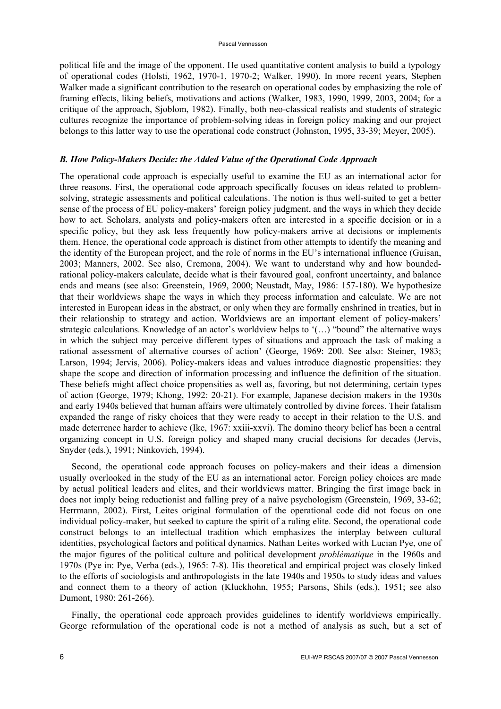political life and the image of the opponent. He used quantitative content analysis to build a typology of operational codes (Holsti, 1962, 1970-1, 1970-2; Walker, 1990). In more recent years, Stephen Walker made a significant contribution to the research on operational codes by emphasizing the role of framing effects, liking beliefs, motivations and actions (Walker, 1983, 1990, 1999, 2003, 2004; for a critique of the approach, Sjoblom, 1982). Finally, both neo-classical realists and students of strategic cultures recognize the importance of problem-solving ideas in foreign policy making and our project belongs to this latter way to use the operational code construct (Johnston, 1995, 33-39; Meyer, 2005).

#### *B. How Policy-Makers Decide: the Added Value of the Operational Code Approach*

The operational code approach is especially useful to examine the EU as an international actor for three reasons. First, the operational code approach specifically focuses on ideas related to problemsolving, strategic assessments and political calculations. The notion is thus well-suited to get a better sense of the process of EU policy-makers' foreign policy judgment, and the ways in which they decide how to act. Scholars, analysts and policy-makers often are interested in a specific decision or in a specific policy, but they ask less frequently how policy-makers arrive at decisions or implements them. Hence, the operational code approach is distinct from other attempts to identify the meaning and the identity of the European project, and the role of norms in the EU's international influence (Guisan, 2003; Manners, 2002. See also, Cremona, 2004). We want to understand why and how boundedrational policy-makers calculate, decide what is their favoured goal, confront uncertainty, and balance ends and means (see also: Greenstein, 1969, 2000; Neustadt, May, 1986: 157-180). We hypothesize that their worldviews shape the ways in which they process information and calculate. We are not interested in European ideas in the abstract, or only when they are formally enshrined in treaties, but in their relationship to strategy and action. Worldviews are an important element of policy-makers' strategic calculations. Knowledge of an actor's worldview helps to '(…) "bound" the alternative ways in which the subject may perceive different types of situations and approach the task of making a rational assessment of alternative courses of action' (George, 1969: 200. See also: Steiner, 1983; Larson, 1994; Jervis, 2006). Policy-makers ideas and values introduce diagnostic propensities: they shape the scope and direction of information processing and influence the definition of the situation. These beliefs might affect choice propensities as well as, favoring, but not determining, certain types of action (George, 1979; Khong, 1992: 20-21). For example, Japanese decision makers in the 1930s and early 1940s believed that human affairs were ultimately controlled by divine forces. Their fatalism expanded the range of risky choices that they were ready to accept in their relation to the U.S. and made deterrence harder to achieve (Ike, 1967: xxiii-xxvi). The domino theory belief has been a central organizing concept in U.S. foreign policy and shaped many crucial decisions for decades (Jervis, Snyder (eds.), 1991; Ninkovich, 1994).

Second, the operational code approach focuses on policy-makers and their ideas a dimension usually overlooked in the study of the EU as an international actor. Foreign policy choices are made by actual political leaders and elites, and their worldviews matter. Bringing the first image back in does not imply being reductionist and falling prey of a naïve psychologism (Greenstein, 1969, 33-62; Herrmann, 2002). First, Leites original formulation of the operational code did not focus on one individual policy-maker, but seeked to capture the spirit of a ruling elite. Second, the operational code construct belongs to an intellectual tradition which emphasizes the interplay between cultural identities, psychological factors and political dynamics. Nathan Leites worked with Lucian Pye, one of the major figures of the political culture and political development *problématique* in the 1960s and 1970s (Pye in: Pye, Verba (eds.), 1965: 7-8). His theoretical and empirical project was closely linked to the efforts of sociologists and anthropologists in the late 1940s and 1950s to study ideas and values and connect them to a theory of action (Kluckhohn, 1955; Parsons, Shils (eds.), 1951; see also Dumont, 1980: 261-266).

Finally, the operational code approach provides guidelines to identify worldviews empirically. George reformulation of the operational code is not a method of analysis as such, but a set of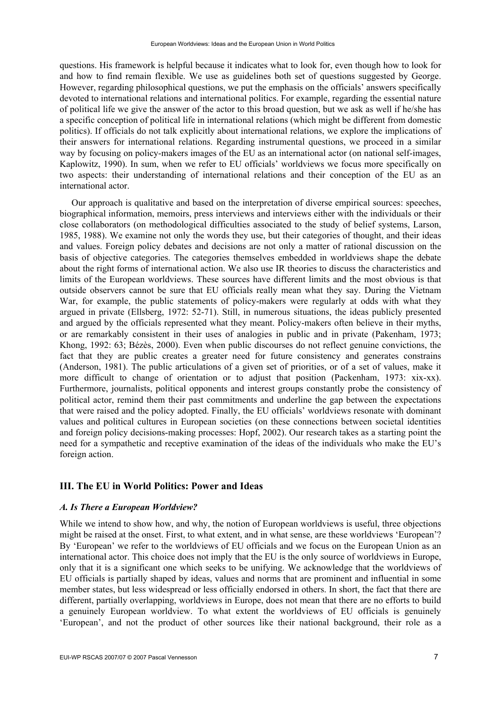questions. His framework is helpful because it indicates what to look for, even though how to look for and how to find remain flexible. We use as guidelines both set of questions suggested by George. However, regarding philosophical questions, we put the emphasis on the officials' answers specifically devoted to international relations and international politics. For example, regarding the essential nature of political life we give the answer of the actor to this broad question, but we ask as well if he/she has a specific conception of political life in international relations (which might be different from domestic politics). If officials do not talk explicitly about international relations, we explore the implications of their answers for international relations. Regarding instrumental questions, we proceed in a similar way by focusing on policy-makers images of the EU as an international actor (on national self-images, Kaplowitz, 1990). In sum, when we refer to EU officials' worldviews we focus more specifically on two aspects: their understanding of international relations and their conception of the EU as an international actor.

Our approach is qualitative and based on the interpretation of diverse empirical sources: speeches, biographical information, memoirs, press interviews and interviews either with the individuals or their close collaborators (on methodological difficulties associated to the study of belief systems, Larson, 1985, 1988). We examine not only the words they use, but their categories of thought, and their ideas and values. Foreign policy debates and decisions are not only a matter of rational discussion on the basis of objective categories. The categories themselves embedded in worldviews shape the debate about the right forms of international action. We also use IR theories to discuss the characteristics and limits of the European worldviews. These sources have different limits and the most obvious is that outside observers cannot be sure that EU officials really mean what they say. During the Vietnam War, for example, the public statements of policy-makers were regularly at odds with what they argued in private (Ellsberg, 1972: 52-71). Still, in numerous situations, the ideas publicly presented and argued by the officials represented what they meant. Policy-makers often believe in their myths, or are remarkably consistent in their uses of analogies in public and in private (Pakenham, 1973; Khong, 1992: 63; Bézès, 2000). Even when public discourses do not reflect genuine convictions, the fact that they are public creates a greater need for future consistency and generates constrains (Anderson, 1981). The public articulations of a given set of priorities, or of a set of values, make it more difficult to change of orientation or to adjust that position (Packenham, 1973: xix-xx). Furthermore, journalists, political opponents and interest groups constantly probe the consistency of political actor, remind them their past commitments and underline the gap between the expectations that were raised and the policy adopted. Finally, the EU officials' worldviews resonate with dominant values and political cultures in European societies (on these connections between societal identities and foreign policy decisions-making processes: Hopf, 2002). Our research takes as a starting point the need for a sympathetic and receptive examination of the ideas of the individuals who make the EU's foreign action.

# **III. The EU in World Politics: Power and Ideas**

#### *A. Is There a European Worldview?*

While we intend to show how, and why, the notion of European worldviews is useful, three objections might be raised at the onset. First, to what extent, and in what sense, are these worldviews 'European'? By 'European' we refer to the worldviews of EU officials and we focus on the European Union as an international actor. This choice does not imply that the EU is the only source of worldviews in Europe, only that it is a significant one which seeks to be unifying. We acknowledge that the worldviews of EU officials is partially shaped by ideas, values and norms that are prominent and influential in some member states, but less widespread or less officially endorsed in others. In short, the fact that there are different, partially overlapping, worldviews in Europe, does not mean that there are no efforts to build a genuinely European worldview. To what extent the worldviews of EU officials is genuinely 'European', and not the product of other sources like their national background, their role as a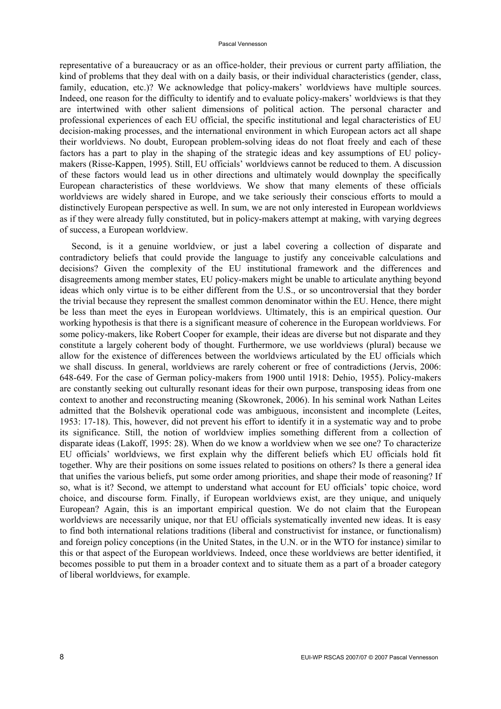representative of a bureaucracy or as an office-holder, their previous or current party affiliation, the kind of problems that they deal with on a daily basis, or their individual characteristics (gender, class, family, education, etc.)? We acknowledge that policy-makers' worldviews have multiple sources. Indeed, one reason for the difficulty to identify and to evaluate policy-makers' worldviews is that they are intertwined with other salient dimensions of political action. The personal character and professional experiences of each EU official, the specific institutional and legal characteristics of EU decision-making processes, and the international environment in which European actors act all shape their worldviews. No doubt, European problem-solving ideas do not float freely and each of these factors has a part to play in the shaping of the strategic ideas and key assumptions of EU policymakers (Risse-Kappen, 1995). Still, EU officials' worldviews cannot be reduced to them. A discussion of these factors would lead us in other directions and ultimately would downplay the specifically European characteristics of these worldviews. We show that many elements of these officials worldviews are widely shared in Europe, and we take seriously their conscious efforts to mould a distinctively European perspective as well. In sum, we are not only interested in European worldviews as if they were already fully constituted, but in policy-makers attempt at making, with varying degrees of success, a European worldview.

Second, is it a genuine worldview, or just a label covering a collection of disparate and contradictory beliefs that could provide the language to justify any conceivable calculations and decisions? Given the complexity of the EU institutional framework and the differences and disagreements among member states, EU policy-makers might be unable to articulate anything beyond ideas which only virtue is to be either different from the U.S., or so uncontroversial that they border the trivial because they represent the smallest common denominator within the EU. Hence, there might be less than meet the eyes in European worldviews. Ultimately, this is an empirical question. Our working hypothesis is that there is a significant measure of coherence in the European worldviews. For some policy-makers, like Robert Cooper for example, their ideas are diverse but not disparate and they constitute a largely coherent body of thought. Furthermore, we use worldviews (plural) because we allow for the existence of differences between the worldviews articulated by the EU officials which we shall discuss. In general, worldviews are rarely coherent or free of contradictions (Jervis, 2006: 648-649. For the case of German policy-makers from 1900 until 1918: Dehio, 1955). Policy-makers are constantly seeking out culturally resonant ideas for their own purpose, transposing ideas from one context to another and reconstructing meaning (Skowronek, 2006). In his seminal work Nathan Leites admitted that the Bolshevik operational code was ambiguous, inconsistent and incomplete (Leites, 1953: 17-18). This, however, did not prevent his effort to identify it in a systematic way and to probe its significance. Still, the notion of worldview implies something different from a collection of disparate ideas (Lakoff, 1995: 28). When do we know a worldview when we see one? To characterize EU officials' worldviews, we first explain why the different beliefs which EU officials hold fit together. Why are their positions on some issues related to positions on others? Is there a general idea that unifies the various beliefs, put some order among priorities, and shape their mode of reasoning? If so, what is it? Second, we attempt to understand what account for EU officials' topic choice, word choice, and discourse form. Finally, if European worldviews exist, are they unique, and uniquely European? Again, this is an important empirical question. We do not claim that the European worldviews are necessarily unique, nor that EU officials systematically invented new ideas. It is easy to find both international relations traditions (liberal and constructivist for instance, or functionalism) and foreign policy conceptions (in the United States, in the U.N. or in the WTO for instance) similar to this or that aspect of the European worldviews. Indeed, once these worldviews are better identified, it becomes possible to put them in a broader context and to situate them as a part of a broader category of liberal worldviews, for example.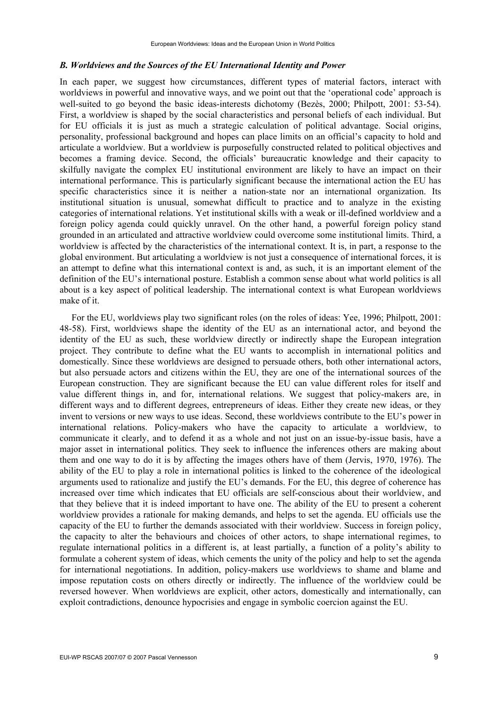#### *B. Worldviews and the Sources of the EU International Identity and Power*

In each paper, we suggest how circumstances, different types of material factors, interact with worldviews in powerful and innovative ways, and we point out that the 'operational code' approach is well-suited to go beyond the basic ideas-interests dichotomy (Bezès, 2000; Philpott, 2001: 53-54). First, a worldview is shaped by the social characteristics and personal beliefs of each individual. But for EU officials it is just as much a strategic calculation of political advantage. Social origins, personality, professional background and hopes can place limits on an official's capacity to hold and articulate a worldview. But a worldview is purposefully constructed related to political objectives and becomes a framing device. Second, the officials' bureaucratic knowledge and their capacity to skilfully navigate the complex EU institutional environment are likely to have an impact on their international performance. This is particularly significant because the international action the EU has specific characteristics since it is neither a nation-state nor an international organization. Its institutional situation is unusual, somewhat difficult to practice and to analyze in the existing categories of international relations. Yet institutional skills with a weak or ill-defined worldview and a foreign policy agenda could quickly unravel. On the other hand, a powerful foreign policy stand grounded in an articulated and attractive worldview could overcome some institutional limits. Third, a worldview is affected by the characteristics of the international context. It is, in part, a response to the global environment. But articulating a worldview is not just a consequence of international forces, it is an attempt to define what this international context is and, as such, it is an important element of the definition of the EU's international posture. Establish a common sense about what world politics is all about is a key aspect of political leadership. The international context is what European worldviews make of it.

For the EU, worldviews play two significant roles (on the roles of ideas: Yee, 1996; Philpott, 2001: 48-58). First, worldviews shape the identity of the EU as an international actor, and beyond the identity of the EU as such, these worldview directly or indirectly shape the European integration project. They contribute to define what the EU wants to accomplish in international politics and domestically. Since these worldviews are designed to persuade others, both other international actors, but also persuade actors and citizens within the EU, they are one of the international sources of the European construction. They are significant because the EU can value different roles for itself and value different things in, and for, international relations. We suggest that policy-makers are, in different ways and to different degrees, entrepreneurs of ideas. Either they create new ideas, or they invent to versions or new ways to use ideas. Second, these worldviews contribute to the EU's power in international relations. Policy-makers who have the capacity to articulate a worldview, to communicate it clearly, and to defend it as a whole and not just on an issue-by-issue basis, have a major asset in international politics. They seek to influence the inferences others are making about them and one way to do it is by affecting the images others have of them (Jervis, 1970, 1976). The ability of the EU to play a role in international politics is linked to the coherence of the ideological arguments used to rationalize and justify the EU's demands. For the EU, this degree of coherence has increased over time which indicates that EU officials are self-conscious about their worldview, and that they believe that it is indeed important to have one. The ability of the EU to present a coherent worldview provides a rationale for making demands, and helps to set the agenda. EU officials use the capacity of the EU to further the demands associated with their worldview. Success in foreign policy, the capacity to alter the behaviours and choices of other actors, to shape international regimes, to regulate international politics in a different is, at least partially, a function of a polity's ability to formulate a coherent system of ideas, which cements the unity of the policy and help to set the agenda for international negotiations. In addition, policy-makers use worldviews to shame and blame and impose reputation costs on others directly or indirectly. The influence of the worldview could be reversed however. When worldviews are explicit, other actors, domestically and internationally, can exploit contradictions, denounce hypocrisies and engage in symbolic coercion against the EU.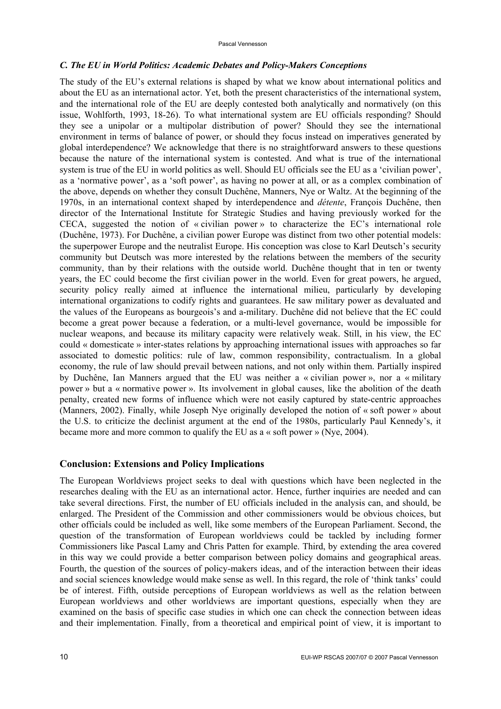# *C. The EU in World Politics: Academic Debates and Policy-Makers Conceptions*

The study of the EU's external relations is shaped by what we know about international politics and about the EU as an international actor. Yet, both the present characteristics of the international system, and the international role of the EU are deeply contested both analytically and normatively (on this issue, Wohlforth, 1993, 18-26). To what international system are EU officials responding? Should they see a unipolar or a multipolar distribution of power? Should they see the international environment in terms of balance of power, or should they focus instead on imperatives generated by global interdependence? We acknowledge that there is no straightforward answers to these questions because the nature of the international system is contested. And what is true of the international system is true of the EU in world politics as well. Should EU officials see the EU as a 'civilian power', as a 'normative power', as a 'soft power', as having no power at all, or as a complex combination of the above, depends on whether they consult Duchêne, Manners, Nye or Waltz. At the beginning of the 1970s, in an international context shaped by interdependence and *détente*, François Duchêne, then director of the International Institute for Strategic Studies and having previously worked for the CECA, suggested the notion of « civilian power » to characterize the EC's international role (Duchêne, 1973). For Duchêne, a civilian power Europe was distinct from two other potential models: the superpower Europe and the neutralist Europe. His conception was close to Karl Deutsch's security community but Deutsch was more interested by the relations between the members of the security community, than by their relations with the outside world. Duchêne thought that in ten or twenty years, the EC could become the first civilian power in the world. Even for great powers, he argued, security policy really aimed at influence the international milieu, particularly by developing international organizations to codify rights and guarantees. He saw military power as devaluated and the values of the Europeans as bourgeois's and a-military. Duchêne did not believe that the EC could become a great power because a federation, or a multi-level governance, would be impossible for nuclear weapons, and because its military capacity were relatively weak. Still, in his view, the EC could « domesticate » inter-states relations by approaching international issues with approaches so far associated to domestic politics: rule of law, common responsibility, contractualism. In a global economy, the rule of law should prevail between nations, and not only within them. Partially inspired by Duchêne, Ian Manners argued that the EU was neither a « civilian power », nor a « military power » but a « normative power ». Its involvement in global causes, like the abolition of the death penalty, created new forms of influence which were not easily captured by state-centric approaches (Manners, 2002). Finally, while Joseph Nye originally developed the notion of « soft power » about the U.S. to criticize the declinist argument at the end of the 1980s, particularly Paul Kennedy's, it became more and more common to qualify the EU as a « soft power » (Nye, 2004).

# **Conclusion: Extensions and Policy Implications**

The European Worldviews project seeks to deal with questions which have been neglected in the researches dealing with the EU as an international actor. Hence, further inquiries are needed and can take several directions. First, the number of EU officials included in the analysis can, and should, be enlarged. The President of the Commission and other commissioners would be obvious choices, but other officials could be included as well, like some members of the European Parliament. Second, the question of the transformation of European worldviews could be tackled by including former Commissioners like Pascal Lamy and Chris Patten for example. Third, by extending the area covered in this way we could provide a better comparison between policy domains and geographical areas. Fourth, the question of the sources of policy-makers ideas, and of the interaction between their ideas and social sciences knowledge would make sense as well. In this regard, the role of 'think tanks' could be of interest. Fifth, outside perceptions of European worldviews as well as the relation between European worldviews and other worldviews are important questions, especially when they are examined on the basis of specific case studies in which one can check the connection between ideas and their implementation. Finally, from a theoretical and empirical point of view, it is important to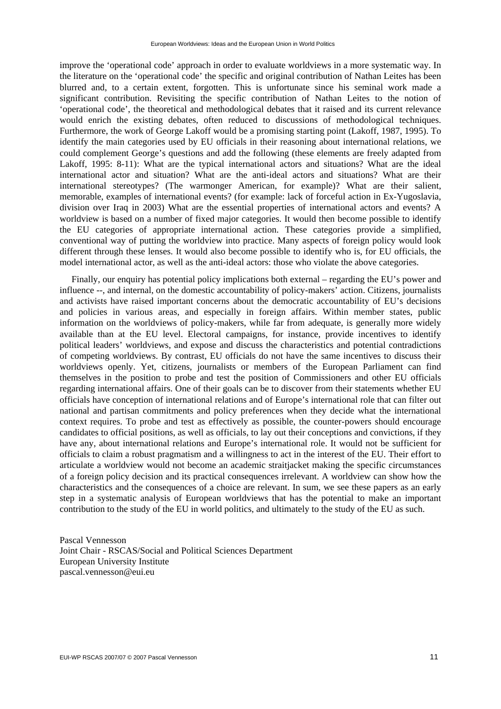improve the 'operational code' approach in order to evaluate worldviews in a more systematic way. In the literature on the 'operational code' the specific and original contribution of Nathan Leites has been blurred and, to a certain extent, forgotten. This is unfortunate since his seminal work made a significant contribution. Revisiting the specific contribution of Nathan Leites to the notion of 'operational code', the theoretical and methodological debates that it raised and its current relevance would enrich the existing debates, often reduced to discussions of methodological techniques. Furthermore, the work of George Lakoff would be a promising starting point (Lakoff, 1987, 1995). To identify the main categories used by EU officials in their reasoning about international relations, we could complement George's questions and add the following (these elements are freely adapted from Lakoff, 1995: 8-11): What are the typical international actors and situations? What are the ideal international actor and situation? What are the anti-ideal actors and situations? What are their international stereotypes? (The warmonger American, for example)? What are their salient, memorable, examples of international events? (for example: lack of forceful action in Ex-Yugoslavia, division over Iraq in 2003) What are the essential properties of international actors and events? A worldview is based on a number of fixed major categories. It would then become possible to identify the EU categories of appropriate international action. These categories provide a simplified, conventional way of putting the worldview into practice. Many aspects of foreign policy would look different through these lenses. It would also become possible to identify who is, for EU officials, the model international actor, as well as the anti-ideal actors: those who violate the above categories.

Finally, our enquiry has potential policy implications both external – regarding the EU's power and influence --, and internal, on the domestic accountability of policy-makers' action. Citizens, journalists and activists have raised important concerns about the democratic accountability of EU's decisions and policies in various areas, and especially in foreign affairs. Within member states, public information on the worldviews of policy-makers, while far from adequate, is generally more widely available than at the EU level. Electoral campaigns, for instance, provide incentives to identify political leaders' worldviews, and expose and discuss the characteristics and potential contradictions of competing worldviews. By contrast, EU officials do not have the same incentives to discuss their worldviews openly. Yet, citizens, journalists or members of the European Parliament can find themselves in the position to probe and test the position of Commissioners and other EU officials regarding international affairs. One of their goals can be to discover from their statements whether EU officials have conception of international relations and of Europe's international role that can filter out national and partisan commitments and policy preferences when they decide what the international context requires. To probe and test as effectively as possible, the counter-powers should encourage candidates to official positions, as well as officials, to lay out their conceptions and convictions, if they have any, about international relations and Europe's international role. It would not be sufficient for officials to claim a robust pragmatism and a willingness to act in the interest of the EU. Their effort to articulate a worldview would not become an academic straitjacket making the specific circumstances of a foreign policy decision and its practical consequences irrelevant. A worldview can show how the characteristics and the consequences of a choice are relevant. In sum, we see these papers as an early step in a systematic analysis of European worldviews that has the potential to make an important contribution to the study of the EU in world politics, and ultimately to the study of the EU as such.

Pascal Vennesson Joint Chair - RSCAS/Social and Political Sciences Department European University Institute pascal.vennesson@eui.eu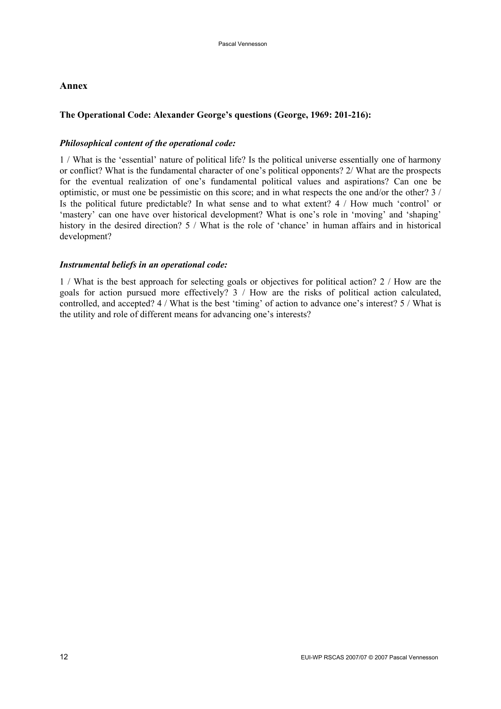# **Annex**

# **The Operational Code: Alexander George's questions (George, 1969: 201-216):**

#### *Philosophical content of the operational code:*

1 / What is the 'essential' nature of political life? Is the political universe essentially one of harmony or conflict? What is the fundamental character of one's political opponents? 2/ What are the prospects for the eventual realization of one's fundamental political values and aspirations? Can one be optimistic, or must one be pessimistic on this score; and in what respects the one and/or the other? 3 / Is the political future predictable? In what sense and to what extent? 4 / How much 'control' or 'mastery' can one have over historical development? What is one's role in 'moving' and 'shaping' history in the desired direction? 5 / What is the role of 'chance' in human affairs and in historical development?

#### *Instrumental beliefs in an operational code:*

1 / What is the best approach for selecting goals or objectives for political action? 2 / How are the goals for action pursued more effectively? 3 / How are the risks of political action calculated, controlled, and accepted? 4 / What is the best 'timing' of action to advance one's interest? 5 / What is the utility and role of different means for advancing one's interests?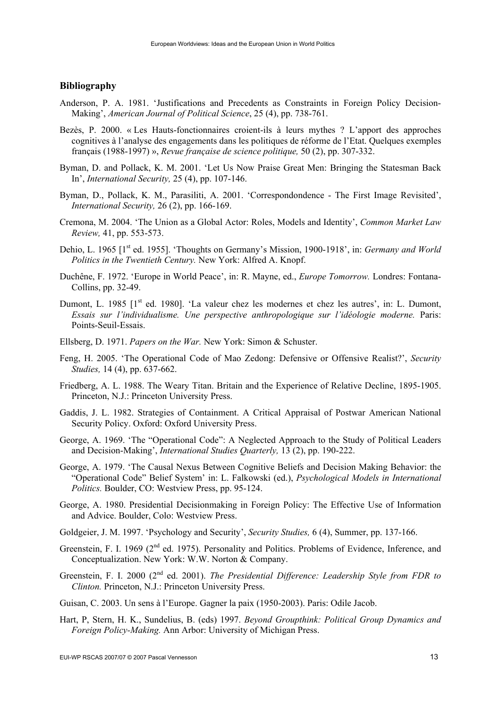# **Bibliography**

- Anderson, P. A. 1981. 'Justifications and Precedents as Constraints in Foreign Policy Decision-Making', *American Journal of Political Science*, 25 (4), pp. 738-761.
- Bezès, P. 2000. « Les Hauts-fonctionnaires croient-ils à leurs mythes ? L'apport des approches cognitives à l'analyse des engagements dans les politiques de réforme de l'Etat. Quelques exemples français (1988-1997) », *Revue française de science politique,* 50 (2), pp. 307-332.
- Byman, D. and Pollack, K. M. 2001. 'Let Us Now Praise Great Men: Bringing the Statesman Back In', *International Security,* 25 (4), pp. 107-146.
- Byman, D., Pollack, K. M., Parasiliti, A. 2001. 'Correspondondence The First Image Revisited', *International Security,* 26 (2), pp. 166-169.
- Cremona, M. 2004. 'The Union as a Global Actor: Roles, Models and Identity', *Common Market Law Review,* 41, pp. 553-573.
- Dehio, L. 1965 [1<sup>st</sup> ed. 1955]. 'Thoughts on Germany's Mission, 1900-1918', in: *Germany and World Politics in the Twentieth Century.* New York: Alfred A. Knopf.
- Duchêne, F. 1972. 'Europe in World Peace', in: R. Mayne, ed., *Europe Tomorrow.* Londres: Fontana-Collins, pp. 32-49.
- Dumont, L. 1985 [1<sup>st</sup> ed. 1980]. 'La valeur chez les modernes et chez les autres', in: L. Dumont, *Essais sur l'individualisme. Une perspective anthropologique sur l'idéologie moderne.* Paris: Points-Seuil-Essais.
- Ellsberg, D. 1971. *Papers on the War.* New York: Simon & Schuster.
- Feng, H. 2005. 'The Operational Code of Mao Zedong: Defensive or Offensive Realist?', *Security Studies,* 14 (4), pp. 637-662.
- Friedberg, A. L. 1988. The Weary Titan. Britain and the Experience of Relative Decline, 1895-1905. Princeton, N.J.: Princeton University Press.
- Gaddis, J. L. 1982. Strategies of Containment. A Critical Appraisal of Postwar American National Security Policy. Oxford: Oxford University Press.
- George, A. 1969. 'The "Operational Code": A Neglected Approach to the Study of Political Leaders and Decision-Making', *International Studies Quarterly,* 13 (2), pp. 190-222.
- George, A. 1979. 'The Causal Nexus Between Cognitive Beliefs and Decision Making Behavior: the "Operational Code" Belief System' in: L. Falkowski (ed.), *Psychological Models in International Politics.* Boulder, CO: Westview Press, pp. 95-124.
- George, A. 1980. Presidential Decisionmaking in Foreign Policy: The Effective Use of Information and Advice. Boulder, Colo: Westview Press.
- Goldgeier, J. M. 1997. 'Psychology and Security', *Security Studies,* 6 (4), Summer, pp. 137-166.
- Greenstein, F. I. 1969 (2<sup>nd</sup> ed. 1975). Personality and Politics. Problems of Evidence, Inference, and Conceptualization. New York: W.W. Norton & Company.
- Greenstein, F. I. 2000 (2nd ed. 2001). *The Presidential Difference: Leadership Style from FDR to Clinton.* Princeton, N.J.: Princeton University Press.
- Guisan, C. 2003. Un sens à l'Europe. Gagner la paix (1950-2003). Paris: Odile Jacob.
- Hart, P, Stern, H. K., Sundelius, B. (eds) 1997. *Beyond Groupthink: Political Group Dynamics and Foreign Policy-Making.* Ann Arbor: University of Michigan Press.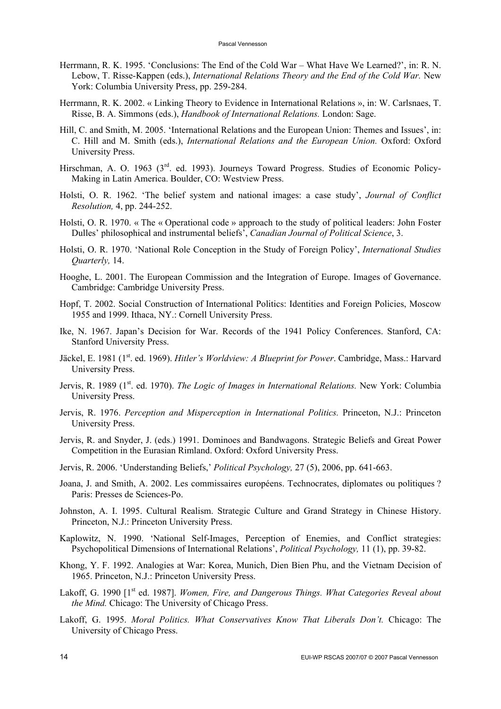- Herrmann, R. K. 1995. 'Conclusions: The End of the Cold War What Have We Learned?', in: R. N. Lebow, T. Risse-Kappen (eds.), *International Relations Theory and the End of the Cold War.* New York: Columbia University Press, pp. 259-284.
- Herrmann, R. K. 2002. « Linking Theory to Evidence in International Relations », in: W. Carlsnaes, T. Risse, B. A. Simmons (eds.), *Handbook of International Relations.* London: Sage.
- Hill, C. and Smith, M. 2005. 'International Relations and the European Union: Themes and Issues', in: C. Hill and M. Smith (eds.), *International Relations and the European Union.* Oxford: Oxford University Press.
- Hirschman, A. O. 1963 (3<sup>rd</sup>. ed. 1993). Journeys Toward Progress. Studies of Economic Policy-Making in Latin America. Boulder, CO: Westview Press.
- Holsti, O. R. 1962. 'The belief system and national images: a case study', *Journal of Conflict Resolution,* 4, pp. 244-252.
- Holsti, O. R. 1970. « The « Operational code » approach to the study of political leaders: John Foster Dulles' philosophical and instrumental beliefs', *Canadian Journal of Political Science*, 3.
- Holsti, O. R. 1970. 'National Role Conception in the Study of Foreign Policy', *International Studies Quarterly,* 14.
- Hooghe, L. 2001. The European Commission and the Integration of Europe. Images of Governance. Cambridge: Cambridge University Press.
- Hopf, T. 2002. Social Construction of International Politics: Identities and Foreign Policies, Moscow 1955 and 1999. Ithaca, NY.: Cornell University Press.
- Ike, N. 1967. Japan's Decision for War. Records of the 1941 Policy Conferences. Stanford, CA: Stanford University Press.
- Jäckel, E. 1981 (1<sup>st</sup>. ed. 1969). *Hitler's Worldview: A Blueprint for Power*. Cambridge, Mass.: Harvard University Press.
- Jervis, R. 1989 (1<sup>st</sup>. ed. 1970). *The Logic of Images in International Relations*. New York: Columbia University Press.
- Jervis, R. 1976. *Perception and Misperception in International Politics.* Princeton, N.J.: Princeton University Press.
- Jervis, R. and Snyder, J. (eds.) 1991. Dominoes and Bandwagons. Strategic Beliefs and Great Power Competition in the Eurasian Rimland. Oxford: Oxford University Press.
- Jervis, R. 2006. 'Understanding Beliefs,' *Political Psychology,* 27 (5), 2006, pp. 641-663.
- Joana, J. and Smith, A. 2002. Les commissaires européens. Technocrates, diplomates ou politiques ? Paris: Presses de Sciences-Po.
- Johnston, A. I. 1995. Cultural Realism. Strategic Culture and Grand Strategy in Chinese History. Princeton, N.J.: Princeton University Press.
- Kaplowitz, N. 1990. 'National Self-Images, Perception of Enemies, and Conflict strategies: Psychopolitical Dimensions of International Relations', *Political Psychology,* 11 (1), pp. 39-82.
- Khong, Y. F. 1992. Analogies at War: Korea, Munich, Dien Bien Phu, and the Vietnam Decision of 1965. Princeton, N.J.: Princeton University Press.
- Lakoff, G. 1990 [1<sup>st</sup> ed. 1987]. *Women, Fire, and Dangerous Things. What Categories Reveal about the Mind.* Chicago: The University of Chicago Press.
- Lakoff, G. 1995. *Moral Politics. What Conservatives Know That Liberals Don't.* Chicago: The University of Chicago Press.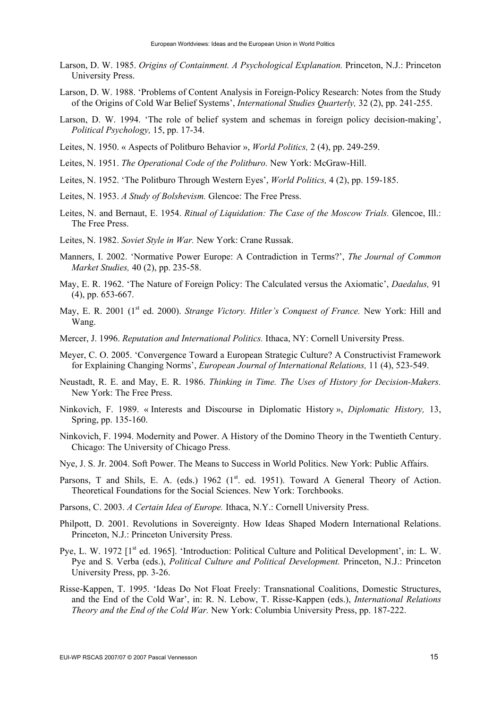- Larson, D. W. 1985. *Origins of Containment. A Psychological Explanation.* Princeton, N.J.: Princeton University Press.
- Larson, D. W. 1988. 'Problems of Content Analysis in Foreign-Policy Research: Notes from the Study of the Origins of Cold War Belief Systems', *International Studies Quarterly,* 32 (2), pp. 241-255.
- Larson, D. W. 1994. 'The role of belief system and schemas in foreign policy decision-making', *Political Psychology,* 15, pp. 17-34.
- Leites, N. 1950. « Aspects of Politburo Behavior », *World Politics,* 2 (4), pp. 249-259.
- Leites, N. 1951. *The Operational Code of the Politburo.* New York: McGraw-Hill.
- Leites, N. 1952. 'The Politburo Through Western Eyes', *World Politics,* 4 (2), pp. 159-185.
- Leites, N. 1953. *A Study of Bolshevism.* Glencoe: The Free Press.
- Leites, N. and Bernaut, E. 1954. *Ritual of Liquidation: The Case of the Moscow Trials.* Glencoe, Ill.: The Free Press.
- Leites, N. 1982. *Soviet Style in War.* New York: Crane Russak.
- Manners, I. 2002. 'Normative Power Europe: A Contradiction in Terms?', *The Journal of Common Market Studies,* 40 (2), pp. 235-58.
- May, E. R. 1962. 'The Nature of Foreign Policy: The Calculated versus the Axiomatic', *Daedalus,* 91 (4), pp. 653-667.
- May, E. R. 2001 (1<sup>st</sup> ed. 2000). *Strange Victory. Hitler's Conquest of France*. New York: Hill and Wang.
- Mercer, J. 1996. *Reputation and International Politics.* Ithaca, NY: Cornell University Press.
- Meyer, C. O. 2005. 'Convergence Toward a European Strategic Culture? A Constructivist Framework for Explaining Changing Norms', *European Journal of International Relations,* 11 (4), 523-549.
- Neustadt, R. E. and May, E. R. 1986. *Thinking in Time. The Uses of History for Decision-Makers.*  New York: The Free Press.
- Ninkovich, F. 1989. « Interests and Discourse in Diplomatic History », *Diplomatic History,* 13, Spring, pp. 135-160.
- Ninkovich, F. 1994. Modernity and Power. A History of the Domino Theory in the Twentieth Century. Chicago: The University of Chicago Press.
- Nye, J. S. Jr. 2004. Soft Power. The Means to Success in World Politics. New York: Public Affairs.
- Parsons, T and Shils, E. A. (eds.) 1962 (1<sup>st</sup>. ed. 1951). Toward A General Theory of Action. Theoretical Foundations for the Social Sciences. New York: Torchbooks.
- Parsons, C. 2003. *A Certain Idea of Europe.* Ithaca, N.Y.: Cornell University Press.
- Philpott, D. 2001. Revolutions in Sovereignty. How Ideas Shaped Modern International Relations. Princeton, N.J.: Princeton University Press.
- Pye, L. W. 1972 [1<sup>st</sup> ed. 1965]. 'Introduction: Political Culture and Political Development', in: L. W. Pye and S. Verba (eds.), *Political Culture and Political Development.* Princeton, N.J.: Princeton University Press, pp. 3-26.
- Risse-Kappen, T. 1995. 'Ideas Do Not Float Freely: Transnational Coalitions, Domestic Structures, and the End of the Cold War', in: R. N. Lebow, T. Risse-Kappen (eds.), *International Relations Theory and the End of the Cold War.* New York: Columbia University Press, pp. 187-222.